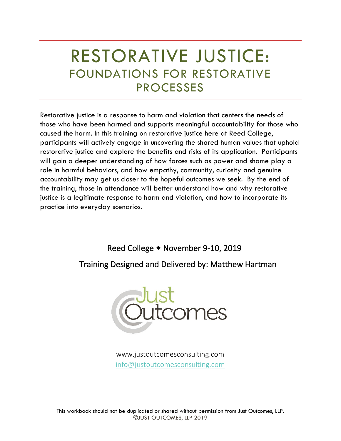# RESTORATIVE JUSTICE: FOUNDATIONS FOR RESTORATIVE PROCESSES

Restorative justice is a response to harm and violation that centers the needs of those who have been harmed and supports meaningful accountability for those who caused the harm. In this training on restorative justice here at Reed College, participants will actively engage in uncovering the shared human values that uphold restorative justice and explore the benefits and risks of its application. Participants will gain a deeper understanding of how forces such as power and shame play a role in harmful behaviors, and how empathy, community, curiosity and genuine accountability may get us closer to the hopeful outcomes we seek. By the end of the training, those in attendance will better understand how and why restorative justice is a legitimate response to harm and violation, and how to incorporate its practice into everyday scenarios.

Reed College November 9-10, 2019

## Training Designed and Delivered by: Matthew Hartman



www.justoutcomesconsulting.com [info@justoutcomesconsulting.com](mailto:info@justoutcomesconsulting.com)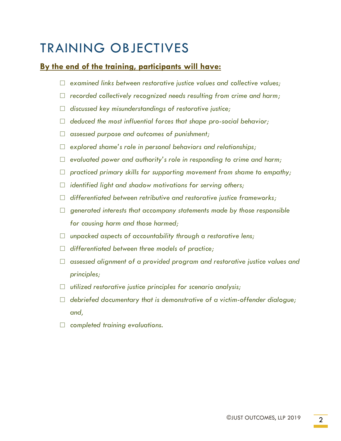# TRAINING OBJECTIVES

#### **By the end of the training, participants will have:**

- □ *examined links between restorative justice values and collective values;*
- □ *recorded collectively recognized needs resulting from crime and harm;*
- □ *discussed key misunderstandings of restorative justice;*
- □ deduced the most influential forces that shape pro-social behavior;
- □ *assessed purpose and outcomes of punishment;*
- □ *explored shame's role in personal behaviors and relationships;*
- □ *evaluated power and authority's role in responding to crime and harm;*
- □ *practiced primary skills for supporting movement from shame to empathy;*
- □ *identified light and shadow motivations for serving others;*
- □ *differentiated between retributive and restorative justice frameworks;*
- □ *generated interests that accompany statements made by those responsible for causing harm and those harmed;*
- □ *unpacked aspects of accountability through a restorative lens;*
- □ *differentiated between three models of practice;*
- □ *assessed alignment of a provided program and restorative justice values and principles;*
- □ *utilized restorative justice principles for scenario analysis;*
- □ *debriefed documentary that is demonstrative of a victim-offender dialogue; and,*
- □ *completed training evaluations.*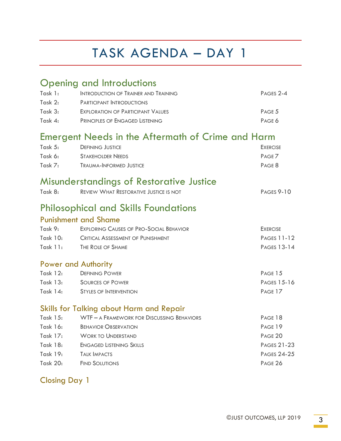# TASK AGENDA – DAY 1

## Opening and Introductions

| Task $1:$ | INTRODUCTION OF TRAINER AND TRAINING | PAGES 2-4 |
|-----------|--------------------------------------|-----------|
| Task $2:$ | PARTICIPANT INTRODUCTIONS            |           |
| Task $3:$ | EXPLORATION OF PARTICIPANT VALUES    | PAGE 5    |
| Task 4:   | PRINCIPLES OF ENGAGED LISTENING      | PAGE 6    |

## Emergent Needs in the Aftermath of Crime and Harm

| Task $5:$ | <b>DEFINING JUSTICE</b> | <b>EXERCISE</b> |
|-----------|-------------------------|-----------------|
| Task 6:   | Stakeholder Needs       | PAGE 7          |
| Task $7:$ | Trauma-Informed Justice | PAGE 8          |

## Misunderstandings of Restorative Justice

| Task 8: | Review What Restorative Justice is not | <b>PAGES 9-10</b> |
|---------|----------------------------------------|-------------------|
|         |                                        |                   |

## Philosophical and Skills Foundations

### Punishment and Shame

| Task $9:$  | EXPLORING CAUSES OF PRO-SOCIAL BEHAVIOR | EXFRCISE           |
|------------|-----------------------------------------|--------------------|
| Task $10:$ | CRITICAL ASSESSMENT OF PUNISHMENT       | <b>PAGES 11-12</b> |
| Task $11:$ | The Roif of Shame                       | <b>PAGES 13-14</b> |

### Power and Authority

| Task $12:$ | <b>DEFINING POWER</b>  | PAGE 15     |
|------------|------------------------|-------------|
| Task $13:$ | - Sources of Power     | Pages 15-16 |
| Task $14:$ | Styles of Intervention | PAGE 17     |

### Skills for Talking about Harm and Repair

| Task 15: | WTF - A FRAMEWORK FOR DISCUSSING BEHAVIORS | PAGE 18            |
|----------|--------------------------------------------|--------------------|
| Task 16: | <b>BEHAVIOR OBSERVATION</b>                | PAGE 19            |
| Task 17: | <b>WORK TO UNDERSTAND</b>                  | PAGE 20            |
| Task 18: | <b>ENGAGED LISTENING SKILLS</b>            | <b>PAGES 21-23</b> |
| Task 19: | <b>TALK IMPACTS</b>                        | <b>PAGES 24-25</b> |
| Task 20: | <b>FIND SOLUTIONS</b>                      | PAGE 26            |

## Closing Day 1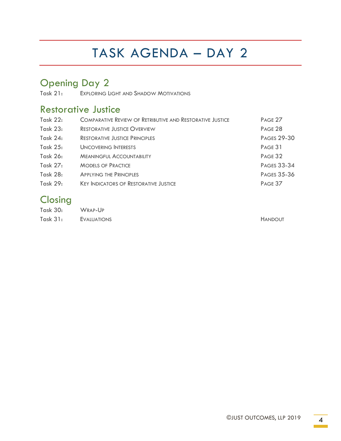# TASK AGENDA – DAY 2

## Opening Day 2

Task 21: EXPLORING LIGHT AND SHADOW MOTIVATIONS

## Restorative Justice

| Task 22:        | <b>COMPARATIVE REVIEW OF RETRIBUTIVE AND RESTORATIVE JUSTICE</b> | PAGE 27            |
|-----------------|------------------------------------------------------------------|--------------------|
| Task 23:        | <b>RESTORATIVE JUSTICE OVERVIEW</b>                              | PAGE 28            |
| Task 24:        | <b>RESTORATIVE JUSTICE PRINCIPLES</b>                            | <b>PAGES 29-30</b> |
| Task $25:$      | <b>UNCOVERING INTERESTS</b>                                      | PAGE 31            |
| Task 26:        | <b>MEANINGFUL ACCOUNTABILITY</b>                                 | PAGE 32            |
| Task 27:        | <b>MODELS OF PRACTICE</b>                                        | <b>PAGES 33-34</b> |
| Task 28:        | <b>APPLYING THE PRINCIPLES</b>                                   | <b>PAGES 35-36</b> |
| <b>Task 29:</b> | <b>KEY INDICATORS OF RESTORATIVE JUSTICE</b>                     | PAGE 37            |
|                 |                                                                  |                    |

## **Closing**

Task 30: WRAP-UP Task 31: EVALUATIONS **EXALUATIONS**